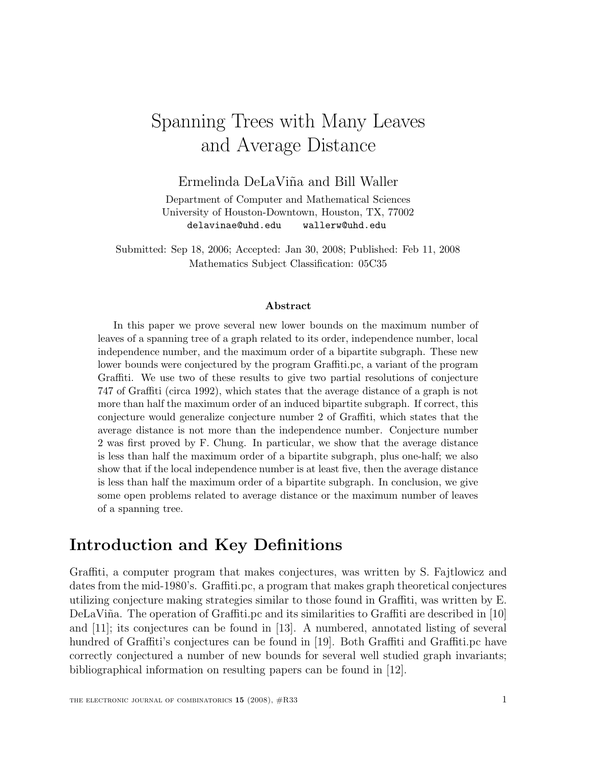# Spanning Trees with Many Leaves and Average Distance

Ermelinda DeLaViña and Bill Waller

Department of Computer and Mathematical Sciences University of Houston-Downtown, Houston, TX, 77002 delavinae@uhd.edu wallerw@uhd.edu

Submitted: Sep 18, 2006; Accepted: Jan 30, 2008; Published: Feb 11, 2008 Mathematics Subject Classification: 05C35

#### Abstract

In this paper we prove several new lower bounds on the maximum number of leaves of a spanning tree of a graph related to its order, independence number, local independence number, and the maximum order of a bipartite subgraph. These new lower bounds were conjectured by the program Graffiti.pc, a variant of the program Graffiti. We use two of these results to give two partial resolutions of conjecture 747 of Graffiti (circa 1992), which states that the average distance of a graph is not more than half the maximum order of an induced bipartite subgraph. If correct, this conjecture would generalize conjecture number 2 of Graffiti, which states that the average distance is not more than the independence number. Conjecture number 2 was first proved by F. Chung. In particular, we show that the average distance is less than half the maximum order of a bipartite subgraph, plus one-half; we also show that if the local independence number is at least five, then the average distance is less than half the maximum order of a bipartite subgraph. In conclusion, we give some open problems related to average distance or the maximum number of leaves of a spanning tree.

## Introduction and Key Definitions

Graffiti, a computer program that makes conjectures, was written by S. Fajtlowicz and dates from the mid-1980's. Graffiti.pc, a program that makes graph theoretical conjectures utilizing conjecture making strategies similar to those found in Graffiti, was written by E. DeLaViña. The operation of Graffiti.pc and its similarities to Graffiti are described in [10] and [11]; its conjectures can be found in [13]. A numbered, annotated listing of several hundred of Graffiti's conjectures can be found in [19]. Both Graffiti and Graffiti.pc have correctly conjectured a number of new bounds for several well studied graph invariants; bibliographical information on resulting papers can be found in [12].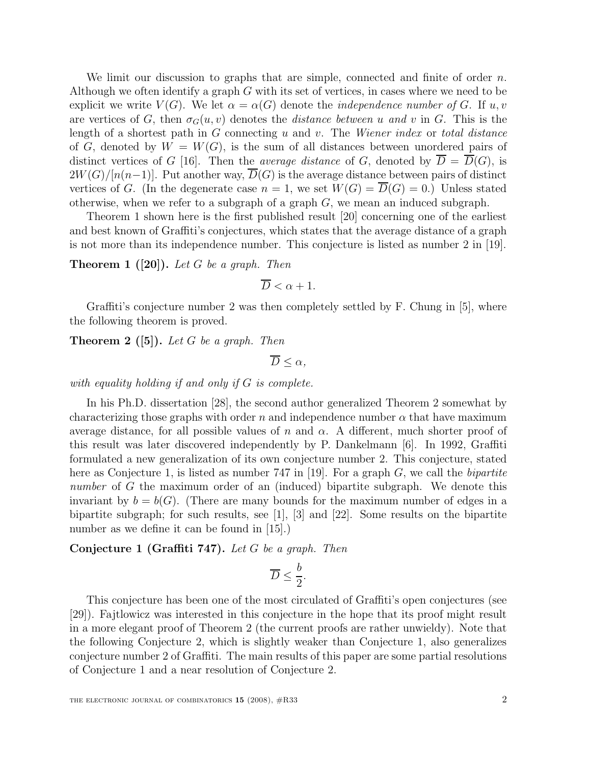We limit our discussion to graphs that are simple, connected and finite of order  $n$ . Although we often identify a graph  $G$  with its set of vertices, in cases where we need to be explicit we write  $V(G)$ . We let  $\alpha = \alpha(G)$  denote the *independence number of G*. If u, v are vertices of G, then  $\sigma_G(u, v)$  denotes the *distance between u and v* in G. This is the length of a shortest path in  $G$  connecting  $u$  and  $v$ . The *Wiener index* or *total distance* of G, denoted by  $W = W(G)$ , is the sum of all distances between unordered pairs of distinct vertices of G [16]. Then the *average distance* of G, denoted by  $D = D(G)$ , is  $2W(G)/[n(n-1)]$ . Put another way,  $\overline{D}(G)$  is the average distance between pairs of distinct vertices of G. (In the degenerate case  $n = 1$ , we set  $W(G) = \overline{D}(G) = 0$ .) Unless stated otherwise, when we refer to a subgraph of a graph  $G$ , we mean an induced subgraph.

Theorem 1 shown here is the first published result [20] concerning one of the earliest and best known of Graffiti's conjectures, which states that the average distance of a graph is not more than its independence number. This conjecture is listed as number 2 in [19].

**Theorem 1** ([20]). Let G be a graph. Then

$$
\overline{D} < \alpha + 1.
$$

Graffiti's conjecture number 2 was then completely settled by F. Chung in [5], where the following theorem is proved.

**Theorem 2** ([5]). Let G be a graph. Then

 $\overline{D} < \alpha$ ,

with equality holding if and only if G is complete.

In his Ph.D. dissertation [28], the second author generalized Theorem 2 somewhat by characterizing those graphs with order n and independence number  $\alpha$  that have maximum average distance, for all possible values of n and  $\alpha$ . A different, much shorter proof of this result was later discovered independently by P. Dankelmann [6]. In 1992, Graffiti formulated a new generalization of its own conjecture number 2. This conjecture, stated here as Conjecture 1, is listed as number 747 in [19]. For a graph  $G$ , we call the *bipartite* number of G the maximum order of an (induced) bipartite subgraph. We denote this invariant by  $b = b(G)$ . (There are many bounds for the maximum number of edges in a bipartite subgraph; for such results, see [1], [3] and [22]. Some results on the bipartite number as we define it can be found in [15].)

Conjecture 1 (Graffiti 747). Let G be a graph. Then

$$
\overline{D} \leq \frac{b}{2}.
$$

This conjecture has been one of the most circulated of Graffiti's open conjectures (see [29]). Fajtlowicz was interested in this conjecture in the hope that its proof might result in a more elegant proof of Theorem 2 (the current proofs are rather unwieldy). Note that the following Conjecture 2, which is slightly weaker than Conjecture 1, also generalizes conjecture number 2 of Graffiti. The main results of this paper are some partial resolutions of Conjecture 1 and a near resolution of Conjecture 2.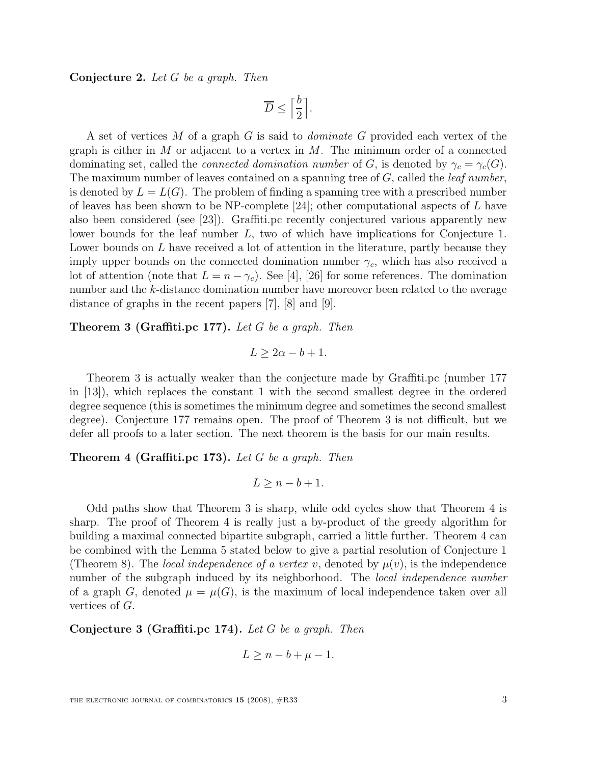Conjecture 2. Let G be a graph. Then

$$
\overline{D} \le \left\lceil \frac{b}{2} \right\rceil.
$$

A set of vertices M of a graph G is said to *dominate* G provided each vertex of the graph is either in  $M$  or adjacent to a vertex in  $M$ . The minimum order of a connected dominating set, called the *connected domination number* of G, is denoted by  $\gamma_c = \gamma_c(G)$ . The maximum number of leaves contained on a spanning tree of  $G$ , called the *leaf number*, is denoted by  $L = L(G)$ . The problem of finding a spanning tree with a prescribed number of leaves has been shown to be NP-complete [24]; other computational aspects of  $L$  have also been considered (see [23]). Graffiti.pc recently conjectured various apparently new lower bounds for the leaf number L, two of which have implications for Conjecture 1. Lower bounds on L have received a lot of attention in the literature, partly because they imply upper bounds on the connected domination number  $\gamma_c$ , which has also received a lot of attention (note that  $L = n - \gamma_c$ ). See [4], [26] for some references. The domination number and the k-distance domination number have moreover been related to the average distance of graphs in the recent papers [7], [8] and [9].

**Theorem 3 (Graffiti.pc 177).** Let G be a graph. Then

$$
L \ge 2\alpha - b + 1.
$$

Theorem 3 is actually weaker than the conjecture made by Graffiti.pc (number 177 in [13]), which replaces the constant 1 with the second smallest degree in the ordered degree sequence (this is sometimes the minimum degree and sometimes the second smallest degree). Conjecture 177 remains open. The proof of Theorem 3 is not difficult, but we defer all proofs to a later section. The next theorem is the basis for our main results.

**Theorem 4 (Graffiti.pc 173).** Let G be a graph. Then

$$
L \ge n - b + 1.
$$

Odd paths show that Theorem 3 is sharp, while odd cycles show that Theorem 4 is sharp. The proof of Theorem 4 is really just a by-product of the greedy algorithm for building a maximal connected bipartite subgraph, carried a little further. Theorem 4 can be combined with the Lemma 5 stated below to give a partial resolution of Conjecture 1 (Theorem 8). The local independence of a vertex v, denoted by  $\mu(v)$ , is the independence number of the subgraph induced by its neighborhood. The *local independence number* of a graph G, denoted  $\mu = \mu(G)$ , is the maximum of local independence taken over all vertices of G.

Conjecture 3 (Graffiti.pc 174). Let G be a graph. Then

$$
L \ge n - b + \mu - 1.
$$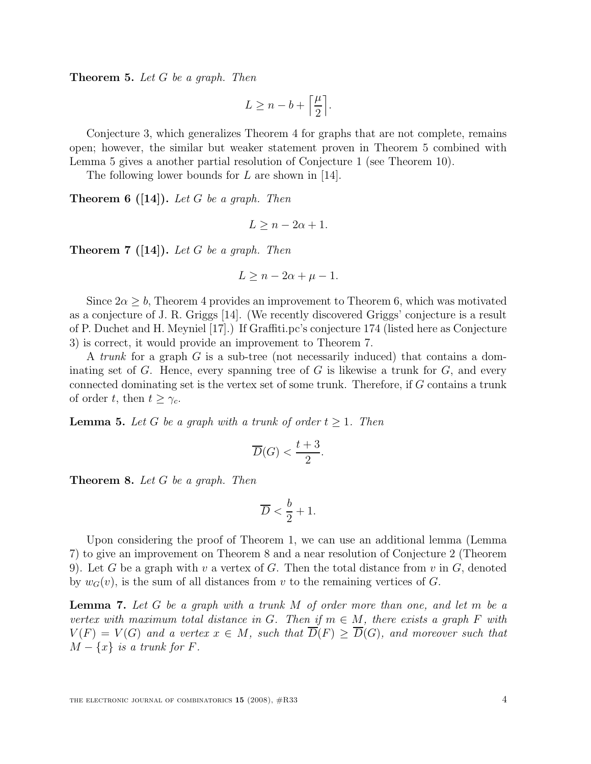Theorem 5. Let G be a graph. Then

$$
L \geq n - b + \left\lceil \frac{\mu}{2} \right\rceil.
$$

Conjecture 3, which generalizes Theorem 4 for graphs that are not complete, remains open; however, the similar but weaker statement proven in Theorem 5 combined with Lemma 5 gives a another partial resolution of Conjecture 1 (see Theorem 10).

The following lower bounds for  $L$  are shown in [14].

**Theorem 6 ([14]).** Let G be a graph. Then

$$
L \ge n - 2\alpha + 1.
$$

**Theorem 7** ([14]). Let G be a graph. Then

$$
L \ge n - 2\alpha + \mu - 1.
$$

Since  $2\alpha \geq b$ , Theorem 4 provides an improvement to Theorem 6, which was motivated as a conjecture of J. R. Griggs [14]. (We recently discovered Griggs' conjecture is a result of P. Duchet and H. Meyniel [17].) If Graffiti.pc's conjecture 174 (listed here as Conjecture 3) is correct, it would provide an improvement to Theorem 7.

A trunk for a graph  $G$  is a sub-tree (not necessarily induced) that contains a dominating set of  $G$ . Hence, every spanning tree of  $G$  is likewise a trunk for  $G$ , and every connected dominating set is the vertex set of some trunk. Therefore, if G contains a trunk of order t, then  $t \geq \gamma_c$ .

**Lemma 5.** Let G be a graph with a trunk of order  $t \geq 1$ . Then

$$
\overline{D}(G) < \frac{t+3}{2}.
$$

Theorem 8. Let G be a graph. Then

$$
\overline{D} < \frac{b}{2} + 1.
$$

Upon considering the proof of Theorem 1, we can use an additional lemma (Lemma 7) to give an improvement on Theorem 8 and a near resolution of Conjecture 2 (Theorem 9). Let G be a graph with v a vertex of G. Then the total distance from v in  $G$ , denoted by  $w_G(v)$ , is the sum of all distances from v to the remaining vertices of G.

**Lemma 7.** Let G be a graph with a trunk M of order more than one, and let m be a vertex with maximum total distance in G. Then if  $m \in M$ , there exists a graph F with  $V(F) = V(G)$  and a vertex  $x \in M$ , such that  $\overline{D}(F) > \overline{D}(G)$ , and moreover such that  $M - \{x\}$  is a trunk for F.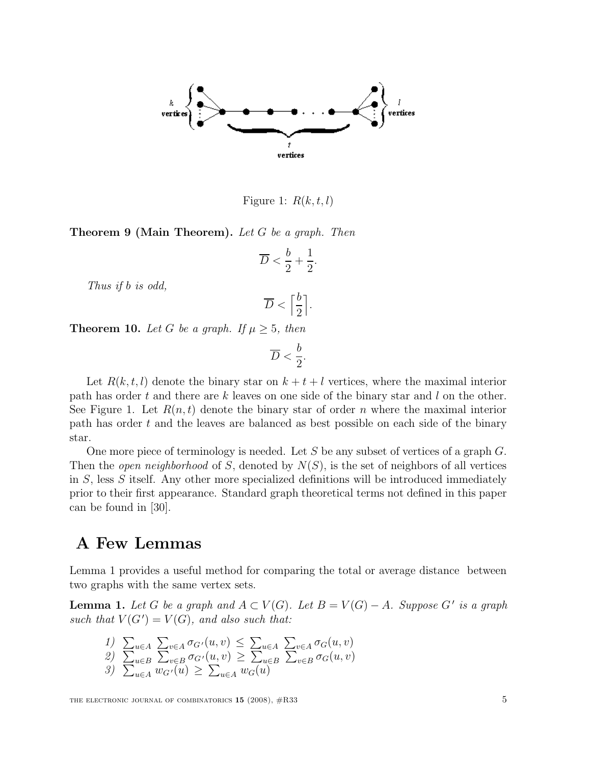

Figure 1:  $R(k, t, l)$ 

**Theorem 9 (Main Theorem).** Let G be a graph. Then

$$
\overline{D} < \frac{b}{2} + \frac{1}{2}.
$$

Thus if b is odd,

$$
\overline{D} < \left\lceil \frac{b}{2} \right\rceil.
$$

**Theorem 10.** Let G be a graph. If  $\mu \geq 5$ , then

$$
\overline{D} < \frac{b}{2}.
$$

Let  $R(k, t, l)$  denote the binary star on  $k + t + l$  vertices, where the maximal interior path has order t and there are k leaves on one side of the binary star and l on the other. See Figure 1. Let  $R(n,t)$  denote the binary star of order n where the maximal interior path has order t and the leaves are balanced as best possible on each side of the binary star.

One more piece of terminology is needed. Let S be any subset of vertices of a graph  $G$ . Then the *open neighborhood* of S, denoted by  $N(S)$ , is the set of neighbors of all vertices in S, less S itself. Any other more specialized definitions will be introduced immediately prior to their first appearance. Standard graph theoretical terms not defined in this paper can be found in [30].

### A Few Lemmas

Lemma 1 provides a useful method for comparing the total or average distance between two graphs with the same vertex sets.

**Lemma 1.** Let G be a graph and  $A \subset V(G)$ . Let  $B = V(G) - A$ . Suppose G' is a graph such that  $V(G') = V(G)$ , and also such that:

1) 
$$
\sum_{u \in A} \sum_{v \in A} \sigma_{G'}(u, v) \leq \sum_{u \in A} \sum_{v \in A} \sigma_{G}(u, v)
$$
  
\n2) 
$$
\sum_{u \in B} \sum_{v \in B} \sigma_{G'}(u, v) \geq \sum_{u \in B} \sum_{v \in B} \sigma_{G}(u, v)
$$
  
\n3) 
$$
\sum_{u \in A} w_{G'}(u) \geq \sum_{u \in A} w_{G}(u)
$$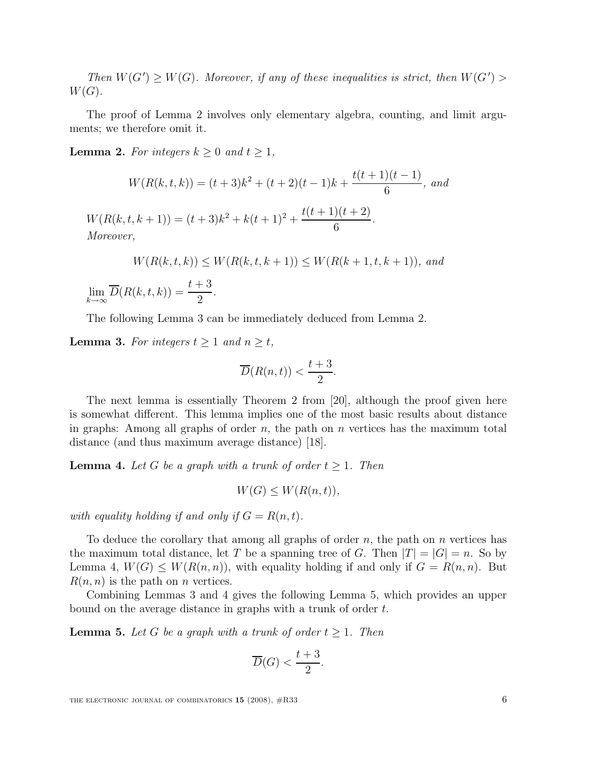Then  $W(G') \geq W(G)$ . Moreover, if any of these inequalities is strict, then  $W(G')$  $W(G)$ .

The proof of Lemma 2 involves only elementary algebra, counting, and limit arguments; we therefore omit it.

**Lemma 2.** For integers  $k \geq 0$  and  $t \geq 1$ ,

$$
W(R(k, t, k)) = (t + 3)k^2 + (t + 2)(t - 1)k + \frac{t(t + 1)(t - 1)}{6}, \text{ and}
$$
  

$$
W(R(k, t, k + 1)) = (t + 3)k^2 + k(t + 1)^2 + \frac{t(t + 1)(t + 2)}{6}.
$$
  
*Moreover,*  

$$
W(R(k, t, k)) \le W(R(k, t, k + 1)) \le W(R(k + 1, t, k + 1)), \text{ and}
$$

 $\lim_{k\to\infty}D(R(k,t,k))=$  $t+3$ 2 .

The following Lemma 3 can be immediately deduced from Lemma 2.

**Lemma 3.** For integers  $t \geq 1$  and  $n \geq t$ ,

$$
\overline{D}(R(n,t)) < \frac{t+3}{2}.
$$

The next lemma is essentially Theorem 2 from [20], although the proof given here is somewhat different. This lemma implies one of the most basic results about distance in graphs: Among all graphs of order  $n$ , the path on  $n$  vertices has the maximum total distance (and thus maximum average distance) [18].

**Lemma 4.** Let G be a graph with a trunk of order  $t \geq 1$ . Then

$$
W(G) \le W(R(n,t)),
$$

with equality holding if and only if  $G = R(n,t)$ .

To deduce the corollary that among all graphs of order  $n$ , the path on  $n$  vertices has the maximum total distance, let T be a spanning tree of G. Then  $|T| = |G| = n$ . So by Lemma 4,  $W(G) \leq W(R(n,n))$ , with equality holding if and only if  $G = R(n,n)$ . But  $R(n, n)$  is the path on *n* vertices.

Combining Lemmas 3 and 4 gives the following Lemma 5, which provides an upper bound on the average distance in graphs with a trunk of order t.

**Lemma 5.** Let G be a graph with a trunk of order  $t \geq 1$ . Then

$$
\overline{D}(G) < \frac{t+3}{2}.
$$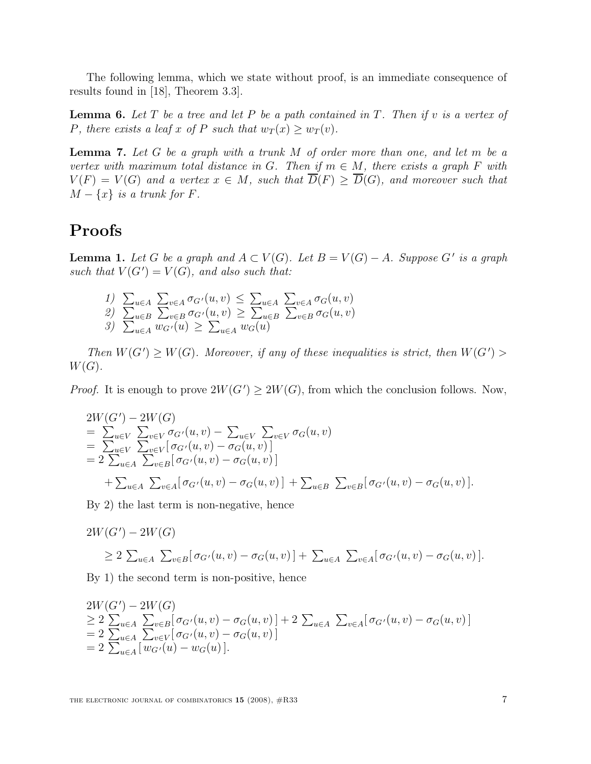The following lemma, which we state without proof, is an immediate consequence of results found in [18], Theorem 3.3].

**Lemma 6.** Let  $T$  be a tree and let  $P$  be a path contained in  $T$ . Then if  $v$  is a vertex of P, there exists a leaf x of P such that  $w_T(x) \geq w_T(v)$ .

**Lemma 7.** Let G be a graph with a trunk M of order more than one, and let m be a vertex with maximum total distance in G. Then if  $m \in M$ , there exists a graph F with  $V(F) = V(G)$  and a vertex  $x \in M$ , such that  $\overline{D}(F) \ge \overline{D}(G)$ , and moreover such that  $M - \{x\}$  is a trunk for F.

# Proofs

**Lemma 1.** Let G be a graph and  $A \subset V(G)$ . Let  $B = V(G) - A$ . Suppose G' is a graph such that  $V(G') = V(G)$ , and also such that:

1) 
$$
\sum_{u \in A} \sum_{v \in A} \sigma_{G'}(u, v) \leq \sum_{u \in A} \sum_{v \in A} \sigma_{G}(u, v)
$$
  
2) 
$$
\sum_{u \in B} \sum_{v \in B} \sigma_{G'}(u, v) \geq \sum_{u \in B} \sum_{v \in B} \sigma_{G}(u, v)
$$
  
3) 
$$
\sum_{u \in A} w_{G'}(u) \geq \sum_{u \in A} w_{G}(u)
$$

Then  $W(G') \geq W(G)$ . Moreover, if any of these inequalities is strict, then  $W(G')$  $W(G).$ 

*Proof.* It is enough to prove  $2W(G') \ge 2W(G)$ , from which the conclusion follows. Now,

$$
2W(G') - 2W(G)
$$
  
=  $\sum_{u \in V} \sum_{v \in V} \sigma_{G'}(u, v) - \sum_{u \in V} \sum_{v \in V} \sigma_G(u, v)$   
=  $\sum_{u \in V} \sum_{v \in V} [\sigma_{G'}(u, v) - \sigma_G(u, v)]$   
=  $2 \sum_{u \in A} \sum_{v \in B} [\sigma_{G'}(u, v) - \sigma_G(u, v)]$   
+  $\sum_{u \in A} \sum_{v \in A} [\sigma_{G'}(u, v) - \sigma_G(u, v)] + \sum_{u \in B} \sum_{v \in B} [\sigma_{G'}(u, v) - \sigma_G(u, v)].$ 

By 2) the last term is non-negative, hence

$$
2W(G') - 2W(G)
$$
  
\n
$$
\geq 2 \sum_{u \in A} \sum_{v \in B} [\sigma_{G'}(u, v) - \sigma_G(u, v)] + \sum_{u \in A} \sum_{v \in A} [\sigma_{G'}(u, v) - \sigma_G(u, v)].
$$

By 1) the second term is non-positive, hence

$$
2W(G') - 2W(G)
$$
  
\n
$$
\geq 2 \sum_{u \in A} \sum_{v \in B} [\sigma_{G'}(u, v) - \sigma_G(u, v)] + 2 \sum_{u \in A} \sum_{v \in A} [\sigma_{G'}(u, v) - \sigma_G(u, v)]
$$
  
\n
$$
= 2 \sum_{u \in A} \sum_{v \in V} [\sigma_{G'}(u, v) - \sigma_G(u, v)]
$$
  
\n
$$
= 2 \sum_{u \in A} [w_{G'}(u) - w_G(u)].
$$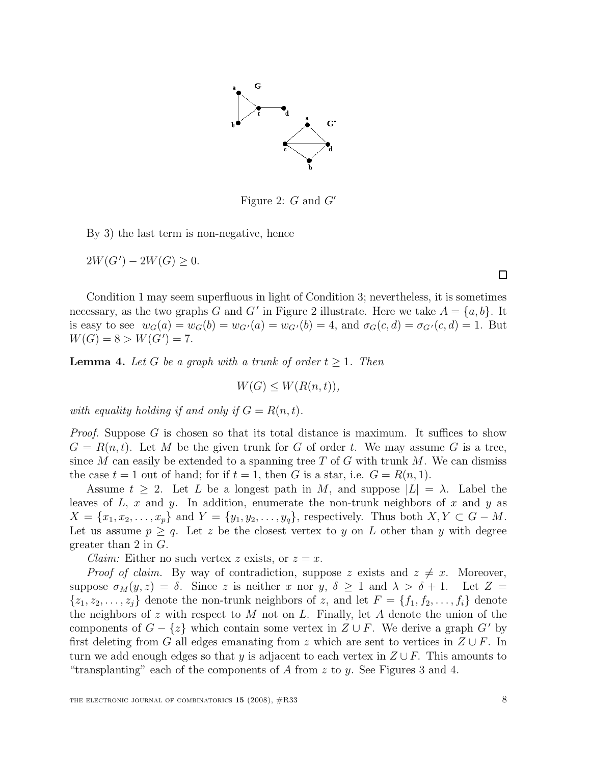

Figure 2:  $G$  and  $G'$ 

By 3) the last term is non-negative, hence

 $2W(G') - 2W(G) \geq 0.$ 

Condition 1 may seem superfluous in light of Condition 3; nevertheless, it is sometimes necessary, as the two graphs G and G' in Figure 2 illustrate. Here we take  $A = \{a, b\}$ . It is easy to see  $w_G(a) = w_G(b) = w_{G'}(a) = w_{G'}(b) = 4$ , and  $\sigma_G(c, d) = \sigma_{G'}(c, d) = 1$ . But  $W(G) = 8 > W(G') = 7.$ 

**Lemma 4.** Let G be a graph with a trunk of order  $t \geq 1$ . Then

$$
W(G) \le W(R(n,t)),
$$

with equality holding if and only if  $G = R(n,t)$ .

Proof. Suppose G is chosen so that its total distance is maximum. It suffices to show  $G = R(n,t)$ . Let M be the given trunk for G of order t. We may assume G is a tree, since M can easily be extended to a spanning tree T of G with trunk M. We can dismiss the case  $t = 1$  out of hand; for if  $t = 1$ , then G is a star, i.e.  $G = R(n, 1)$ .

Assume  $t \geq 2$ . Let L be a longest path in M, and suppose  $|L| = \lambda$ . Label the leaves of  $L$ ,  $x$  and  $y$ . In addition, enumerate the non-trunk neighbors of  $x$  and  $y$  as  $X = \{x_1, x_2, \ldots, x_p\}$  and  $Y = \{y_1, y_2, \ldots, y_q\}$ , respectively. Thus both  $X, Y \subset G - M$ . Let us assume  $p \geq q$ . Let z be the closest vertex to y on L other than y with degree greater than 2 in G.

*Claim:* Either no such vertex z exists, or  $z = x$ .

*Proof of claim.* By way of contradiction, suppose z exists and  $z \neq x$ . Moreover, suppose  $\sigma_M(y, z) = \delta$ . Since z is neither x nor y,  $\delta \geq 1$  and  $\lambda > \delta + 1$ . Let  $Z =$  $\{z_1, z_2, \ldots, z_i\}$  denote the non-trunk neighbors of z, and let  $F = \{f_1, f_2, \ldots, f_i\}$  denote the neighbors of z with respect to  $M$  not on  $L$ . Finally, let  $A$  denote the union of the components of  $G - \{z\}$  which contain some vertex in  $Z \cup F$ . We derive a graph  $G'$  by first deleting from G all edges emanating from z which are sent to vertices in  $Z \cup F$ . In turn we add enough edges so that y is adjacent to each vertex in  $Z \cup F$ . This amounts to "transplanting" each of the components of A from  $z$  to  $y$ . See Figures 3 and 4.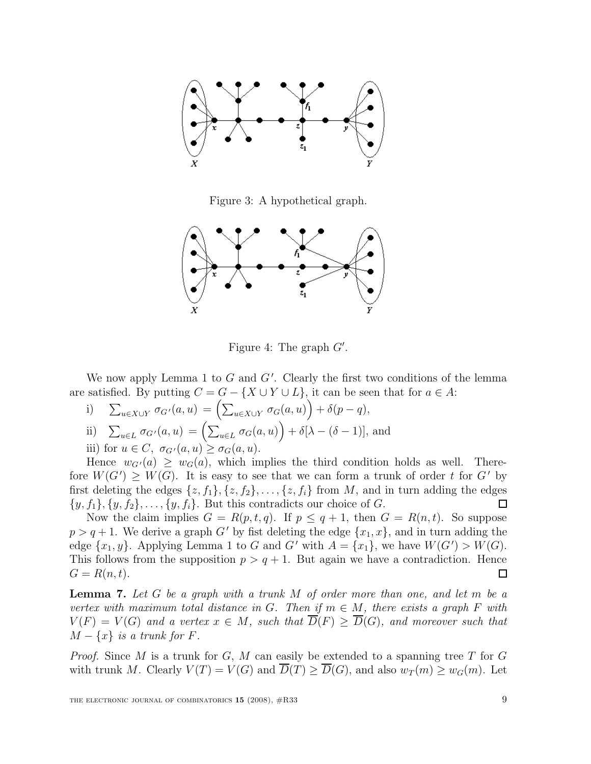

Figure 3: A hypothetical graph.



Figure 4: The graph  $G'$ .

We now apply Lemma 1 to  $G$  and  $G'$ . Clearly the first two conditions of the lemma are satisfied. By putting  $C = G - \{X \cup Y \cup L\}$ , it can be seen that for  $a \in A$ :

i) 
$$
\sum_{u \in X \cup Y} \sigma_{G'}(a, u) = \left(\sum_{u \in X \cup Y} \sigma_G(a, u)\right) + \delta(p - q),
$$

ii) 
$$
\sum_{u \in L} \sigma_G \cdot (a, u) = \left( \sum_{u \in L} \sigma_G(a, u) \right) + \delta[\lambda - (\delta - 1)],
$$
 and

iii) for  $u \in C$ ,  $\sigma_{G'}(a, u) \geq \sigma_G(a, u)$ .

Hence  $w_{G'}(a) \geq w_G(a)$ , which implies the third condition holds as well. Therefore  $W(G') \geq W(G)$ . It is easy to see that we can form a trunk of order t for G' by first deleting the edges  $\{z, f_1\}, \{z, f_2\}, \ldots, \{z, f_i\}$  from M, and in turn adding the edges  $\{y, f_1\}, \{y, f_2\}, \ldots, \{y, f_i\}.$  But this contradicts our choice of G. 囗

Now the claim implies  $G = R(p, t, q)$ . If  $p \leq q + 1$ , then  $G = R(n, t)$ . So suppose  $p > q + 1$ . We derive a graph G' by fist deleting the edge  $\{x_1, x\}$ , and in turn adding the edge  $\{x_1, y\}$ . Applying Lemma 1 to G and G' with  $A = \{x_1\}$ , we have  $W(G') > W(G)$ . This follows from the supposition  $p > q + 1$ . But again we have a contradiction. Hence  $G = R(n,t).$  $\Box$ 

**Lemma 7.** Let G be a graph with a trunk  $M$  of order more than one, and let  $m$  be a vertex with maximum total distance in G. Then if  $m \in M$ , there exists a graph F with  $V(F) = V(G)$  and a vertex  $x \in M$ , such that  $\overline{D}(F) > \overline{D}(G)$ , and moreover such that  $M - \{x\}$  is a trunk for F.

*Proof.* Since M is a trunk for G, M can easily be extended to a spanning tree T for G with trunk M. Clearly  $V(T) = V(G)$  and  $\overline{D}(T) \ge \overline{D}(G)$ , and also  $w_T(m) \ge w_G(m)$ . Let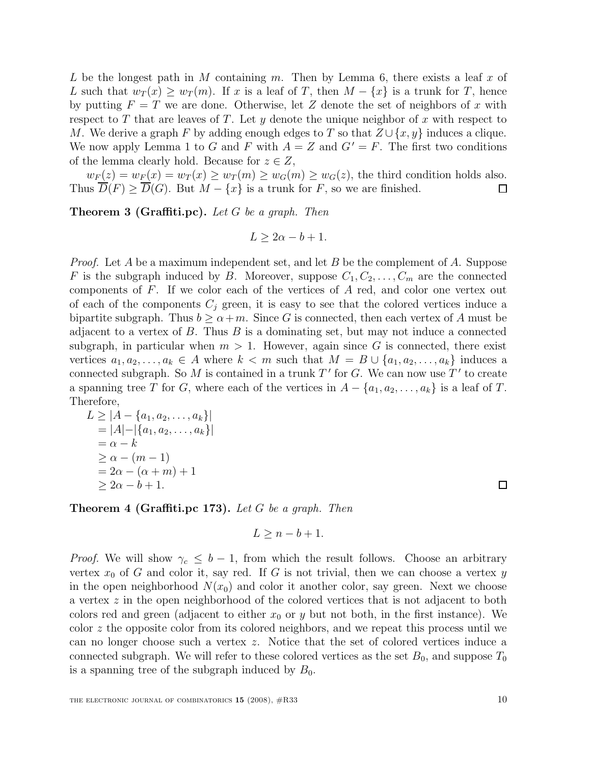L be the longest path in M containing m. Then by Lemma 6, there exists a leaf x of L such that  $w_T(x) \geq w_T(m)$ . If x is a leaf of T, then  $M - \{x\}$  is a trunk for T, hence by putting  $F = T$  we are done. Otherwise, let Z denote the set of neighbors of x with respect to T that are leaves of T. Let  $y$  denote the unique neighbor of  $x$  with respect to M. We derive a graph F by adding enough edges to T so that  $Z \cup \{x, y\}$  induces a clique. We now apply Lemma 1 to G and F with  $A = Z$  and  $G' = F$ . The first two conditions of the lemma clearly hold. Because for  $z \in Z$ ,

 $w_F(z) = w_F(x) = w_T(x) \ge w_T(m) \ge w_G(m) \ge w_G(z)$ , the third condition holds also. Thus  $\overline{D}(F) \ge \overline{D}(G)$ . But  $M - \{x\}$  is a trunk for F, so we are finished. ◻

Theorem 3 (Graffiti.pc). Let G be a graph. Then

$$
L \ge 2\alpha - b + 1.
$$

*Proof.* Let A be a maximum independent set, and let B be the complement of A. Suppose F is the subgraph induced by B. Moreover, suppose  $C_1, C_2, \ldots, C_m$  are the connected components of F. If we color each of the vertices of A red, and color one vertex out of each of the components  $C_j$  green, it is easy to see that the colored vertices induce a bipartite subgraph. Thus  $b \ge \alpha+m$ . Since G is connected, then each vertex of A must be adjacent to a vertex of  $B$ . Thus  $B$  is a dominating set, but may not induce a connected subgraph, in particular when  $m > 1$ . However, again since G is connected, there exist vertices  $a_1, a_2, \ldots, a_k \in A$  where  $k < m$  such that  $M = B \cup \{a_1, a_2, \ldots, a_k\}$  induces a connected subgraph. So M is contained in a trunk  $T'$  for G. We can now use  $T'$  to create a spanning tree T for G, where each of the vertices in  $A - \{a_1, a_2, \ldots, a_k\}$  is a leaf of T. Therefore,

$$
L \ge |A - \{a_1, a_2, ..., a_k\}|
$$
  
= |A| - |\{a\_1, a\_2, ..., a\_k\}|  
= \alpha - k  
\ge \alpha - (m - 1)  
= 2\alpha - (\alpha + m) + 1  
\ge 2\alpha - b + 1.

**Theorem 4 (Graffiti.pc 173).** Let G be a graph. Then

$$
L \ge n - b + 1.
$$

*Proof.* We will show  $\gamma_c \leq b-1$ , from which the result follows. Choose an arbitrary vertex  $x_0$  of G and color it, say red. If G is not trivial, then we can choose a vertex y in the open neighborhood  $N(x_0)$  and color it another color, say green. Next we choose a vertex z in the open neighborhood of the colored vertices that is not adjacent to both colors red and green (adjacent to either  $x_0$  or y but not both, in the first instance). We color z the opposite color from its colored neighbors, and we repeat this process until we can no longer choose such a vertex z. Notice that the set of colored vertices induce a connected subgraph. We will refer to these colored vertices as the set  $B_0$ , and suppose  $T_0$ is a spanning tree of the subgraph induced by  $B_0$ .

 $\Box$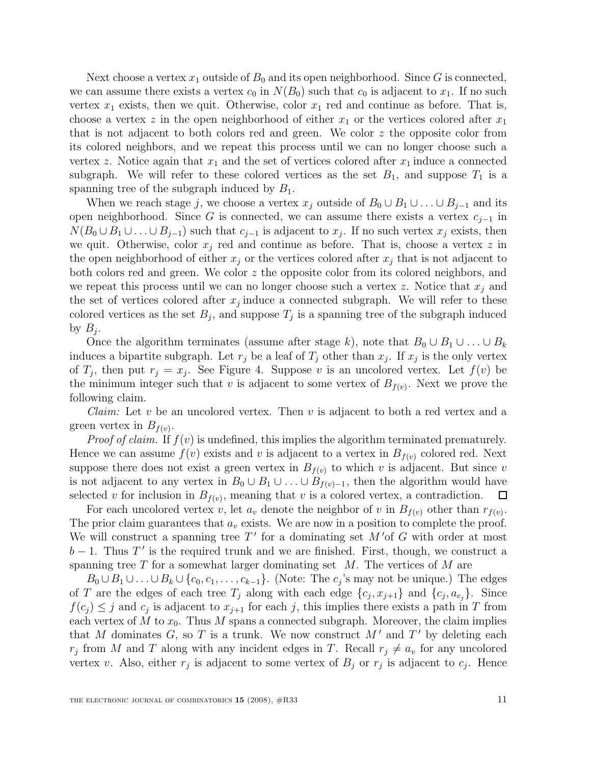Next choose a vertex  $x_1$  outside of  $B_0$  and its open neighborhood. Since G is connected, we can assume there exists a vertex  $c_0$  in  $N(B_0)$  such that  $c_0$  is adjacent to  $x_1$ . If no such vertex  $x_1$  exists, then we quit. Otherwise, color  $x_1$  red and continue as before. That is, choose a vertex z in the open neighborhood of either  $x_1$  or the vertices colored after  $x_1$ that is not adjacent to both colors red and green. We color  $z$  the opposite color from its colored neighbors, and we repeat this process until we can no longer choose such a vertex z. Notice again that  $x_1$  and the set of vertices colored after  $x_1$  induce a connected subgraph. We will refer to these colored vertices as the set  $B_1$ , and suppose  $T_1$  is a spanning tree of the subgraph induced by  $B_1$ .

When we reach stage j, we choose a vertex  $x_j$  outside of  $B_0 \cup B_1 \cup \ldots \cup B_{j-1}$  and its open neighborhood. Since G is connected, we can assume there exists a vertex  $c_{j-1}$  in  $N(B_0 \cup B_1 \cup \ldots \cup B_{j-1})$  such that  $c_{j-1}$  is adjacent to  $x_j$ . If no such vertex  $x_j$  exists, then we quit. Otherwise, color  $x_i$  red and continue as before. That is, choose a vertex z in the open neighborhood of either  $x_j$  or the vertices colored after  $x_j$  that is not adjacent to both colors red and green. We color  $z$  the opposite color from its colored neighbors, and we repeat this process until we can no longer choose such a vertex z. Notice that  $x_j$  and the set of vertices colored after  $x_j$  induce a connected subgraph. We will refer to these colored vertices as the set  $B_j$ , and suppose  $T_j$  is a spanning tree of the subgraph induced by  $B_j$ .

Once the algorithm terminates (assume after stage k), note that  $B_0 \cup B_1 \cup \ldots \cup B_k$ induces a bipartite subgraph. Let  $r_j$  be a leaf of  $T_j$  other than  $x_j$ . If  $x_j$  is the only vertex of  $T_j$ , then put  $r_j = x_j$ . See Figure 4. Suppose v is an uncolored vertex. Let  $f(v)$  be the minimum integer such that v is adjacent to some vertex of  $B_{f(v)}$ . Next we prove the following claim.

*Claim:* Let v be an uncolored vertex. Then v is adjacent to both a red vertex and a green vertex in  $B_{f(v)}$ .

*Proof of claim.* If  $f(v)$  is undefined, this implies the algorithm terminated prematurely. Hence we can assume  $f(v)$  exists and v is adjacent to a vertex in  $B_{f(v)}$  colored red. Next suppose there does not exist a green vertex in  $B_{f(v)}$  to which v is adjacent. But since v is not adjacent to any vertex in  $B_0 \cup B_1 \cup \ldots \cup B_{f(v)-1}$ , then the algorithm would have selected v for inclusion in  $B_{f(v)}$ , meaning that v is a colored vertex, a contradiction.  $\Box$ 

For each uncolored vertex v, let  $a_v$  denote the neighbor of v in  $B_{f(v)}$  other than  $r_{f(v)}$ . The prior claim guarantees that  $a_v$  exists. We are now in a position to complete the proof. We will construct a spanning tree  $T'$  for a dominating set  $M'$ of G with order at most  $b-1$ . Thus T' is the required trunk and we are finished. First, though, we construct a spanning tree  $T$  for a somewhat larger dominating set  $M$ . The vertices of  $M$  are

 $B_0 \cup B_1 \cup \ldots \cup B_k \cup \{c_0, c_1, \ldots, c_{k-1}\}.$  (Note: The  $c_j$ 's may not be unique.) The edges of T are the edges of each tree  $T_j$  along with each edge  $\{c_j, x_{j+1}\}\$  and  $\{c_j, a_{c_j}\}\$ . Since  $f(c_j) \leq j$  and  $c_j$  is adjacent to  $x_{j+1}$  for each j, this implies there exists a path in T from each vertex of M to  $x_0$ . Thus M spans a connected subgraph. Moreover, the claim implies that M dominates  $G$ , so T is a trunk. We now construct  $M'$  and  $T'$  by deleting each  $r_j$  from M and T along with any incident edges in T. Recall  $r_j \neq a_v$  for any uncolored vertex v. Also, either  $r_j$  is adjacent to some vertex of  $B_j$  or  $r_j$  is adjacent to  $c_j$ . Hence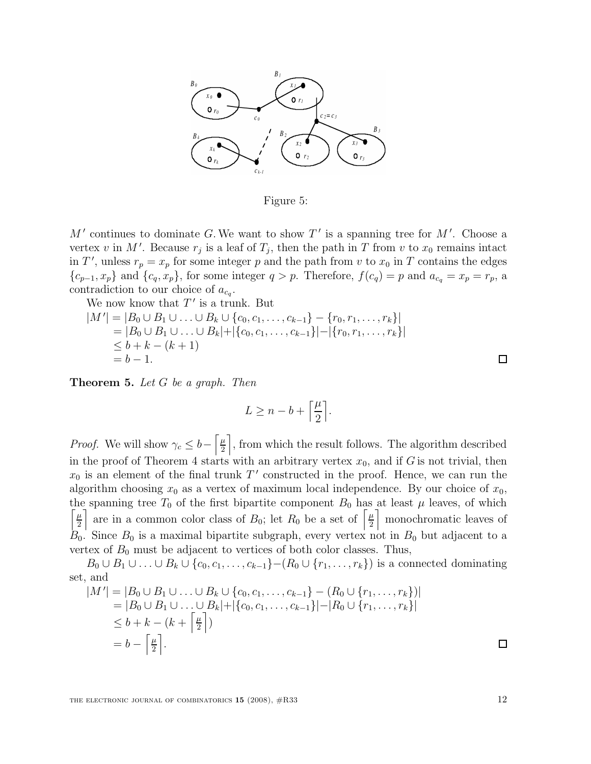

Figure 5:

 $M'$  continues to dominate G. We want to show  $T'$  is a spanning tree for  $M'$ . Choose a vertex v in M'. Because  $r_j$  is a leaf of  $T_j$ , then the path in T from v to  $x_0$  remains intact in T', unless  $r_p = x_p$  for some integer p and the path from v to  $x_0$  in T contains the edges  ${c_{p-1}, x_p}$  and  ${c_q, x_p}$ , for some integer  $q > p$ . Therefore,  $f(c_q) = p$  and  $a_{c_q} = x_p = r_p$ , a contradiction to our choice of  $a_{c_q}$ .

We now know that  $T'$  is a trunk. But

$$
|M'| = |B_0 \cup B_1 \cup \ldots \cup B_k \cup \{c_0, c_1, \ldots, c_{k-1}\} - \{r_0, r_1, \ldots, r_k\}|
$$
  
= |B\_0 \cup B\_1 \cup \ldots \cup B\_k| + |\{c\_0, c\_1, \ldots, c\_{k-1}\}| - |\{r\_0, r\_1, \ldots, r\_k\}|  
\$\leq b + k - (k + 1)  
= b - 1.

Theorem 5. Let G be a graph. Then

$$
L \geq n-b+\Big\lceil\frac{\mu}{2}\Big\rceil.
$$

*Proof.* We will show  $\gamma_c \leq b - \left[\frac{\mu}{2}\right]$  $\frac{\mu}{2}$ , from which the result follows. The algorithm described in the proof of Theorem 4 starts with an arbitrary vertex  $x_0$ , and if G is not trivial, then  $x_0$  is an element of the final trunk  $T'$  constructed in the proof. Hence, we can run the algorithm choosing  $x_0$  as a vertex of maximum local independence. By our choice of  $x_0$ , the spanning tree  $T_0$  of the first bipartite component  $B_0$  has at least  $\mu$  leaves, of which  $\lceil \mu \rceil$  $\frac{\mu}{2}$  are in a common color class of  $B_0$ ; let  $R_0$  be a set of  $\left[\frac{\mu}{2}\right]$  $\frac{\mu}{2}$  monochromatic leaves of  $B_0$ . Since  $B_0$  is a maximal bipartite subgraph, every vertex not in  $B_0$  but adjacent to a vertex of  $B_0$  must be adjacent to vertices of both color classes. Thus,

 $B_0 \cup B_1 \cup \ldots \cup B_k \cup \{c_0, c_1, \ldots, c_{k-1}\}$  -  $(R_0 \cup \{r_1, \ldots, r_k\})$  is a connected dominating set, and

$$
|M'| = |B_0 \cup B_1 \cup \ldots \cup B_k \cup \{c_0, c_1, \ldots, c_{k-1}\} - (R_0 \cup \{r_1, \ldots, r_k\})|
$$
  
= |B\_0 \cup B\_1 \cup \ldots \cup B\_k| + |\{c\_0, c\_1, \ldots, c\_{k-1}\}| - |R\_0 \cup \{r\_1, \ldots, r\_k\}|  

$$
\leq b + k - (k + \left\lceil \frac{\mu}{2} \right\rceil)
$$
  
= 
$$
b - \left\lceil \frac{\mu}{2} \right\rceil.
$$

THE ELECTRONIC JOURNAL OF COMBINATORICS  $15$  (2008),  $\#R33$  12

 $\Box$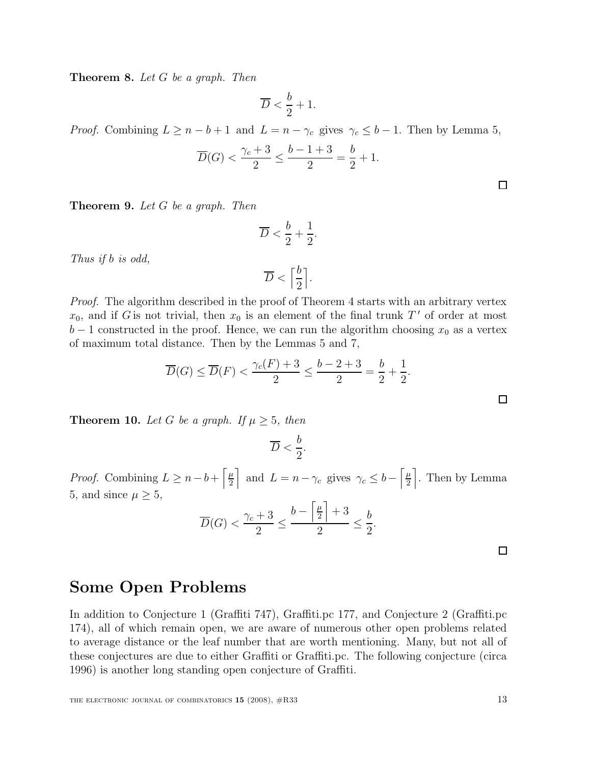Theorem 8. Let G be a graph. Then

$$
\overline{D} < \frac{b}{2} + 1.
$$

*Proof.* Combining  $L \geq n - b + 1$  and  $L = n - \gamma_c$  gives  $\gamma_c \leq b - 1$ . Then by Lemma 5,

$$
\overline{D}(G) < \frac{\gamma_c + 3}{2} \le \frac{b - 1 + 3}{2} = \frac{b}{2} + 1.
$$

Theorem 9. Let G be a graph. Then

$$
\overline{D} < \frac{b}{2} + \frac{1}{2}.
$$

Thus if b is odd,

$$
\overline{D} < \left\lceil \frac{b}{2} \right\rceil.
$$

Proof. The algorithm described in the proof of Theorem 4 starts with an arbitrary vertex  $x_0$ , and if G is not trivial, then  $x_0$  is an element of the final trunk T' of order at most  $b-1$  constructed in the proof. Hence, we can run the algorithm choosing  $x_0$  as a vertex of maximum total distance. Then by the Lemmas 5 and 7,

$$
\overline{D}(G) \le \overline{D}(F) < \frac{\gamma_c(F) + 3}{2} \le \frac{b - 2 + 3}{2} = \frac{b}{2} + \frac{1}{2}.
$$

**Theorem 10.** Let G be a graph. If  $\mu \geq 5$ , then

$$
\overline{D} < \frac{b}{2}.
$$

*Proof.* Combining  $L \geq n - b + \left\lceil \frac{\mu}{2} \right\rceil$  $\frac{\mu}{2}$  and  $L = n - \gamma_c$  gives  $\gamma_c \leq b - \left[\frac{\mu}{2}\right]$  $\frac{\mu}{2}$ . Then by Lemma 5, and since  $\mu \geq 5$ ,

$$
\overline{D}(G) < \frac{\gamma_c + 3}{2} \le \frac{b - \left\lceil \frac{\mu}{2} \right\rceil + 3}{2} \le \frac{b}{2}.
$$

 $\Box$ 

### Some Open Problems

In addition to Conjecture 1 (Graffiti 747), Graffiti.pc 177, and Conjecture 2 (Graffiti.pc 174), all of which remain open, we are aware of numerous other open problems related to average distance or the leaf number that are worth mentioning. Many, but not all of these conjectures are due to either Graffiti or Graffiti.pc. The following conjecture (circa 1996) is another long standing open conjecture of Graffiti.

 $\Box$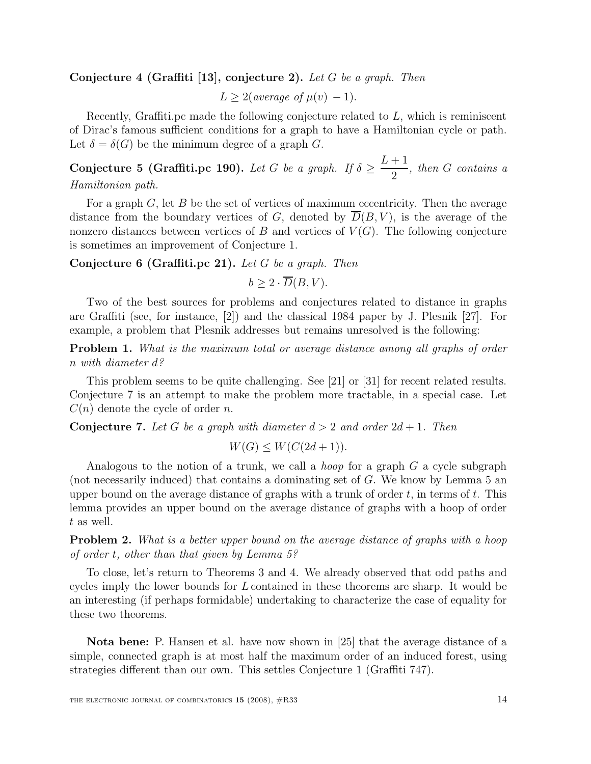#### Conjecture 4 (Graffiti [13], conjecture 2). Let G be a graph. Then

 $L > 2$ (average of  $\mu(v) - 1$ ).

Recently, Graffiti.pc made the following conjecture related to L, which is reminiscent of Dirac's famous sufficient conditions for a graph to have a Hamiltonian cycle or path. Let  $\delta = \delta(G)$  be the minimum degree of a graph G.

Conjecture 5 (Graffiti.pc 190). Let G be a graph. If  $\delta \geq$  $L+1$ 2 , then G contains a Hamiltonian path.

For a graph  $G$ , let  $B$  be the set of vertices of maximum eccentricity. Then the average distance from the boundary vertices of  $G$ , denoted by  $D(B, V)$ , is the average of the nonzero distances between vertices of B and vertices of  $V(G)$ . The following conjecture is sometimes an improvement of Conjecture 1.

Conjecture 6 (Graffiti.pc 21). Let G be a graph. Then

$$
b \ge 2 \cdot \overline{D}(B, V).
$$

Two of the best sources for problems and conjectures related to distance in graphs are Graffiti (see, for instance, [2]) and the classical 1984 paper by J. Plesnik [27]. For example, a problem that Plesnik addresses but remains unresolved is the following:

Problem 1. What is the maximum total or average distance among all graphs of order n with diameter d?

This problem seems to be quite challenging. See [21] or [31] for recent related results. Conjecture 7 is an attempt to make the problem more tractable, in a special case. Let  $C(n)$  denote the cycle of order n.

**Conjecture 7.** Let G be a graph with diameter  $d > 2$  and order  $2d + 1$ . Then

$$
W(G) \le W(C(2d+1)).
$$

Analogous to the notion of a trunk, we call a *hoop* for a graph  $G$  a cycle subgraph (not necessarily induced) that contains a dominating set of G. We know by Lemma 5 an upper bound on the average distance of graphs with a trunk of order  $t$ , in terms of  $t$ . This lemma provides an upper bound on the average distance of graphs with a hoop of order t as well.

**Problem 2.** What is a better upper bound on the average distance of graphs with a hoop of order t, other than that given by Lemma 5?

To close, let's return to Theorems 3 and 4. We already observed that odd paths and cycles imply the lower bounds for L contained in these theorems are sharp. It would be an interesting (if perhaps formidable) undertaking to characterize the case of equality for these two theorems.

Nota bene: P. Hansen et al. have now shown in [25] that the average distance of a simple, connected graph is at most half the maximum order of an induced forest, using strategies different than our own. This settles Conjecture 1 (Graffiti 747).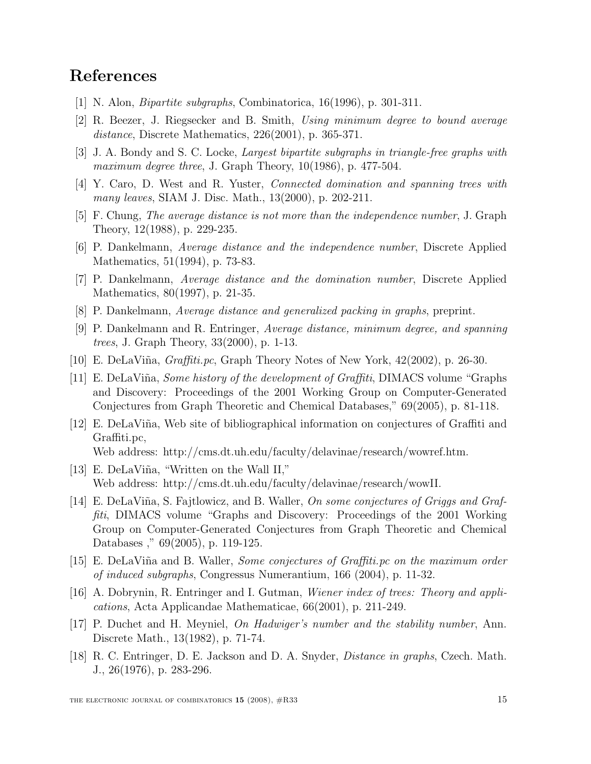# References

- [1] N. Alon, Bipartite subgraphs, Combinatorica, 16(1996), p. 301-311.
- [2] R. Beezer, J. Riegsecker and B. Smith, Using minimum degree to bound average distance, Discrete Mathematics, 226(2001), p. 365-371.
- [3] J. A. Bondy and S. C. Locke, Largest bipartite subgraphs in triangle-free graphs with maximum degree three, J. Graph Theory,  $10(1986)$ , p. 477-504.
- [4] Y. Caro, D. West and R. Yuster, Connected domination and spanning trees with many leaves, SIAM J. Disc. Math., 13(2000), p. 202-211.
- [5] F. Chung, The average distance is not more than the independence number, J. Graph Theory, 12(1988), p. 229-235.
- [6] P. Dankelmann, Average distance and the independence number, Discrete Applied Mathematics, 51(1994), p. 73-83.
- [7] P. Dankelmann, Average distance and the domination number, Discrete Applied Mathematics, 80(1997), p. 21-35.
- [8] P. Dankelmann, Average distance and generalized packing in graphs, preprint.
- [9] P. Dankelmann and R. Entringer, Average distance, minimum degree, and spanning trees, J. Graph Theory, 33(2000), p. 1-13.
- [10] E. DeLaViña,  $Graffiti.pc$ , Graph Theory Notes of New York,  $42(2002)$ , p. 26-30.
- [11] E. DeLaViña, *Some history of the development of Graffiti*, DIMACS volume "Graphs" and Discovery: Proceedings of the 2001 Working Group on Computer-Generated Conjectures from Graph Theoretic and Chemical Databases," 69(2005), p. 81-118.
- [12] E. DeLaViña, Web site of bibliographical information on conjectures of Graffiti and Graffiti.pc, Web address: http://cms.dt.uh.edu/faculty/delavinae/research/wowref.htm.
- [13] E. DeLaViña, "Written on the Wall II," Web address: http://cms.dt.uh.edu/faculty/delavinae/research/wowII.
- [14] E. DeLaViña, S. Fajtlowicz, and B. Waller, On some conjectures of Griggs and Graffiti, DIMACS volume "Graphs and Discovery: Proceedings of the 2001 Working Group on Computer-Generated Conjectures from Graph Theoretic and Chemical Databases ," 69(2005), p. 119-125.
- [15] E. DeLaViña and B. Waller, *Some conjectures of Graffiti.pc on the maximum order* of induced subgraphs, Congressus Numerantium, 166 (2004), p. 11-32.
- [16] A. Dobrynin, R. Entringer and I. Gutman, Wiener index of trees: Theory and applications, Acta Applicandae Mathematicae, 66(2001), p. 211-249.
- [17] P. Duchet and H. Meyniel, On Hadwiger's number and the stability number, Ann. Discrete Math., 13(1982), p. 71-74.
- [18] R. C. Entringer, D. E. Jackson and D. A. Snyder, Distance in graphs, Czech. Math. J., 26(1976), p. 283-296.